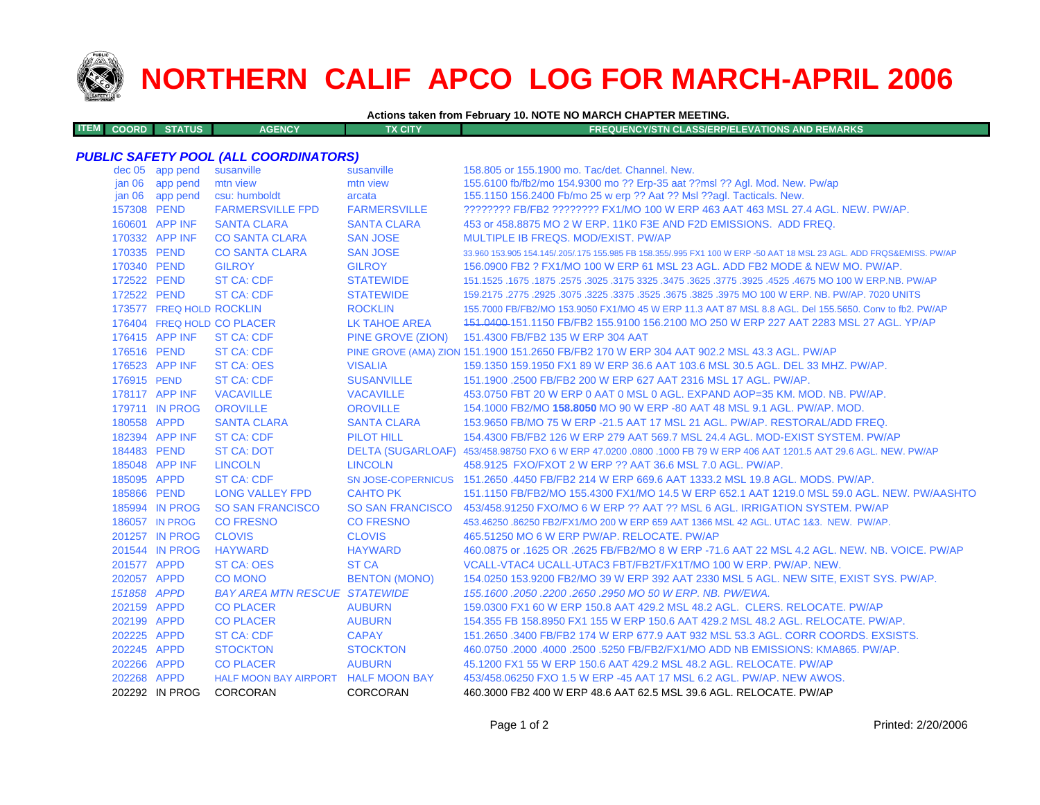

**ITEM**

## **NORTHERN CALIF APCO LOG FOR MARCH-APRIL 2006**

## **Actions taken from February 10. NOTE NO MARCH CHAPTER MEETING.**

| M COORD I | <b>STATUS</b> | <b>AGENCY</b> | <b>TX CITY</b> | <b>FREQUENCY/STN CLASS/ERP/ELEVATIONS AND REMARKS</b> |
|-----------|---------------|---------------|----------------|-------------------------------------------------------|
|-----------|---------------|---------------|----------------|-------------------------------------------------------|

## *PUBLIC SAFETY POOL (ALL COORDINATORS)*

|                   | dec 05 app pend          | susanville                           | susanville              | 158.805 or 155.1900 mo. Tac/det. Channel. New.                                                                      |
|-------------------|--------------------------|--------------------------------------|-------------------------|---------------------------------------------------------------------------------------------------------------------|
|                   | jan 06 app pend          | mtn view                             | mtn view                | 155.6100 fb/fb2/mo 154.9300 mo ?? Erp-35 aat ??msl ?? Agl. Mod. New. Pw/ap                                          |
| jan <sub>06</sub> | app pend                 | csu: humboldt                        | arcata                  | 155.1150 156.2400 Fb/mo 25 w erp ?? Aat ?? Msl ??aql. Tacticals. New.                                               |
| 157308 PEND       |                          | <b>FARMERSVILLE FPD</b>              | <b>FARMERSVILLE</b>     | ???????? FB/FB2 ???????? FX1/MO 100 W ERP 463 AAT 463 MSL 27.4 AGL, NEW, PW/AP,                                     |
|                   | 160601 APP INF           | <b>SANTA CLARA</b>                   | <b>SANTA CLARA</b>      | 453 or 458,8875 MO 2 W ERP, 11K0 F3E AND F2D EMISSIONS. ADD FREQ.                                                   |
|                   | 170332 APP INF           | <b>CO SANTA CLARA</b>                | <b>SAN JOSE</b>         | MULTIPLE IB FREQS, MOD/EXIST, PW/AP                                                                                 |
| 170335 PEND       |                          | <b>CO SANTA CLARA</b>                | <b>SAN JOSE</b>         | 33.960 153.905 154.145/.205/.175 155.985 FB 158.355/.995 FX1 100 W ERP -50 AAT 18 MSL 23 AGL. ADD FRQS&EMISS. PW/AP |
| 170340 PEND       |                          | <b>GILROY</b>                        | <b>GILROY</b>           | 156,0900 FB2 ? FX1/MO 100 W ERP 61 MSL 23 AGL, ADD FB2 MODE & NEW MO, PW/AP.                                        |
| 172522 PEND       |                          | <b>ST CA: CDF</b>                    | <b>STATEWIDE</b>        | 151.1525 .1675 NO 100 W ERP.NB. PW/AP .2575 .3625 .3475 .3625 .3475 .3625 .3175 .3025 .1675 .1675 .1675 .1675       |
| 172522 PEND       |                          | <b>ST CA: CDF</b>                    | <b>STATEWIDE</b>        | 159.2175 .2775 .2925 .3075 .3225 .3375 .3525 .3675 .3825 .3975 MO 100 W ERP. NB. PW/AP. 7020 UNITS                  |
|                   | 173577 FREQ HOLD ROCKLIN |                                      | <b>ROCKLIN</b>          | 155.7000 FB/FB2/MO 153.9050 FX1/MO 45 W ERP 11.3 AAT 87 MSL 8.8 AGL. Del 155.5650. Conv to fb2. PW/AP               |
|                   |                          | 176404 FREQ HOLD CO PLACER           | <b>LK TAHOE AREA</b>    | 151.0400-151.1150 FB/FB2 155.9100 156.2100 MO 250 W ERP 227 AAT 2283 MSL 27 AGL. YP/AP                              |
|                   | 176415 APP INF           | <b>ST CA: CDF</b>                    | PINE GROVE (ZION)       | 151.4300 FB/FB2 135 W ERP 304 AAT                                                                                   |
| 176516 PEND       |                          | ST CA: CDF                           |                         | PINE GROVE (AMA) ZION 151.1900 151.2650 FB/FB2 170 W ERP 304 AAT 902.2 MSL 43.3 AGL. PW/AP                          |
|                   | 176523 APP INF           | <b>ST CA: OES</b>                    | <b>VISALIA</b>          | 159.1350 159.1950 FX1 89 W ERP 36.6 AAT 103.6 MSL 30.5 AGL. DEL 33 MHZ. PW/AP.                                      |
| 176915 PEND       |                          | <b>ST CA: CDF</b>                    | <b>SUSANVILLE</b>       | 151.1900 .2500 FB/FB2 200 W ERP 627 AAT 2316 MSL 17 AGL. PW/AP.                                                     |
|                   | 178117 APP INF           | <b>VACAVILLE</b>                     | <b>VACAVILLE</b>        | 453.0750 FBT 20 W ERP 0 AAT 0 MSL 0 AGL, EXPAND AOP=35 KM, MOD, NB, PW/AP,                                          |
|                   | 179711 IN PROG           | <b>OROVILLE</b>                      | <b>OROVILLE</b>         | 154.1000 FB2/MO 158.8050 MO 90 W ERP -80 AAT 48 MSL 9.1 AGL, PW/AP, MOD,                                            |
| 180558 APPD       |                          | <b>SANTA CLARA</b>                   | <b>SANTA CLARA</b>      | 153,9650 FB/MO 75 W ERP -21.5 AAT 17 MSL 21 AGL, PW/AP, RESTORAL/ADD FREQ.                                          |
|                   | 182394 APP INF           | <b>ST CA: CDF</b>                    | PILOT HILL              | 154,4300 FB/FB2 126 W ERP 279 AAT 569.7 MSL 24.4 AGL, MOD-EXIST SYSTEM, PW/AP                                       |
| 184483 PEND       |                          | <b>ST CA: DOT</b>                    |                         | DELTA (SUGARLOAF) 453/458.98750 FXO 6 W ERP 47.0200 .0800 .1000 FB 79 W ERP 406 AAT 1201.5 AAT 29.6 AGL. NEW. PW/AP |
|                   | 185048 APP INF           | <b>LINCOLN</b>                       | <b>LINCOLN</b>          | 458.9125 FXO/FXOT 2 W ERP ?? AAT 36.6 MSL 7.0 AGL. PW/AP.                                                           |
| 185095 APPD       |                          | <b>ST CA: CDF</b>                    |                         | SN JOSE-COPERNICUS 151.2650 .4450 FB/FB2 214 W ERP 669.6 AAT 1333.2 MSL 19.8 AGL. MODS. PW/AP.                      |
| 185866 PEND       |                          | <b>LONG VALLEY FPD</b>               | <b>CAHTO PK</b>         | 151.1150 FB/FB2/MO 155.4300 FX1/MO 14.5 W ERP 652.1 AAT 1219.0 MSL 59.0 AGL. NEW. PW/AASHTO                         |
|                   | 185994 IN PROG           | <b>SO SAN FRANCISCO</b>              | <b>SO SAN FRANCISCO</b> | 453/458.91250 FXO/MO 6 W ERP ?? AAT ?? MSL 6 AGL. IRRIGATION SYSTEM. PW/AP                                          |
|                   | 186057 IN PROG           | <b>CO FRESNO</b>                     | <b>CO FRESNO</b>        | 453.46250 .86250 FB2/FX1/MO 200 W ERP 659 AAT 1366 MSL 42 AGL, UTAC 1&3, NEW, PW/AP,                                |
|                   | 201257 IN PROG           | <b>CLOVIS</b>                        | <b>CLOVIS</b>           | 465.51250 MO 6 W ERP PW/AP, RELOCATE, PW/AP                                                                         |
|                   | 201544 IN PROG           | <b>HAYWARD</b>                       | <b>HAYWARD</b>          | 460.0875 or .1625 OR .2625 FB/FB2/MO 8 W ERP -71.6 AAT 22 MSL 4.2 AGL. NEW. NB. VOICE. PW/AP                        |
| 201577 APPD       |                          | <b>ST CA: OES</b>                    | <b>ST CA</b>            | VCALL-VTAC4 UCALL-UTAC3 FBT/FB2T/FX1T/MO 100 W ERP. PW/AP. NEW.                                                     |
| 202057 APPD       |                          | <b>CO MONO</b>                       | <b>BENTON (MONO)</b>    | 154.0250 153.9200 FB2/MO 39 W ERP 392 AAT 2330 MSL 5 AGL. NEW SITE, EXIST SYS. PW/AP.                               |
| 151858 APPD       |                          | <b>BAY AREA MTN RESCUE STATEWIDE</b> |                         | 155, 1600, 2050, 2200, 2650, 2950 MO 50 W ERP, NB, PW/EWA,                                                          |
| 202159 APPD       |                          | <b>CO PLACER</b>                     | <b>AUBURN</b>           | 159,0300 FX1 60 W ERP 150.8 AAT 429.2 MSL 48.2 AGL. CLERS. RELOCATE. PW/AP                                          |
| 202199 APPD       |                          | <b>CO PLACER</b>                     | <b>AUBURN</b>           | 154,355 FB 158,8950 FX1 155 W ERP 150.6 AAT 429.2 MSL 48.2 AGL, RELOCATE, PW/AP.                                    |
| 202225 APPD       |                          | <b>ST CA: CDF</b>                    | <b>CAPAY</b>            | 151.2650 .3400 FB/FB2 174 W ERP 677.9 AAT 932 MSL 53.3 AGL, CORR COORDS, EXSISTS,                                   |
| 202245 APPD       |                          | <b>STOCKTON</b>                      | <b>STOCKTON</b>         | 460.0750 .2000 .4000 .2500 .5250 FB/FB2/FX1/MO ADD NB EMISSIONS: KMA865, PW/AP.                                     |
| 202266 APPD       |                          | <b>CO PLACER</b>                     | <b>AUBURN</b>           | 45.1200 FX1 55 W ERP 150.6 AAT 429.2 MSL 48.2 AGL, RELOCATE, PW/AP                                                  |
| 202268 APPD       |                          | HALF MOON BAY AIRPORT HALF MOON BAY  |                         | 453/458,06250 FXO 1.5 W ERP -45 AAT 17 MSL 6.2 AGL, PW/AP, NEW AWOS.                                                |
|                   | 202292 IN PROG           | CORCORAN                             | CORCORAN                | 460.3000 FB2 400 W ERP 48.6 AAT 62.5 MSL 39.6 AGL. RELOCATE. PW/AP                                                  |
|                   |                          |                                      |                         |                                                                                                                     |